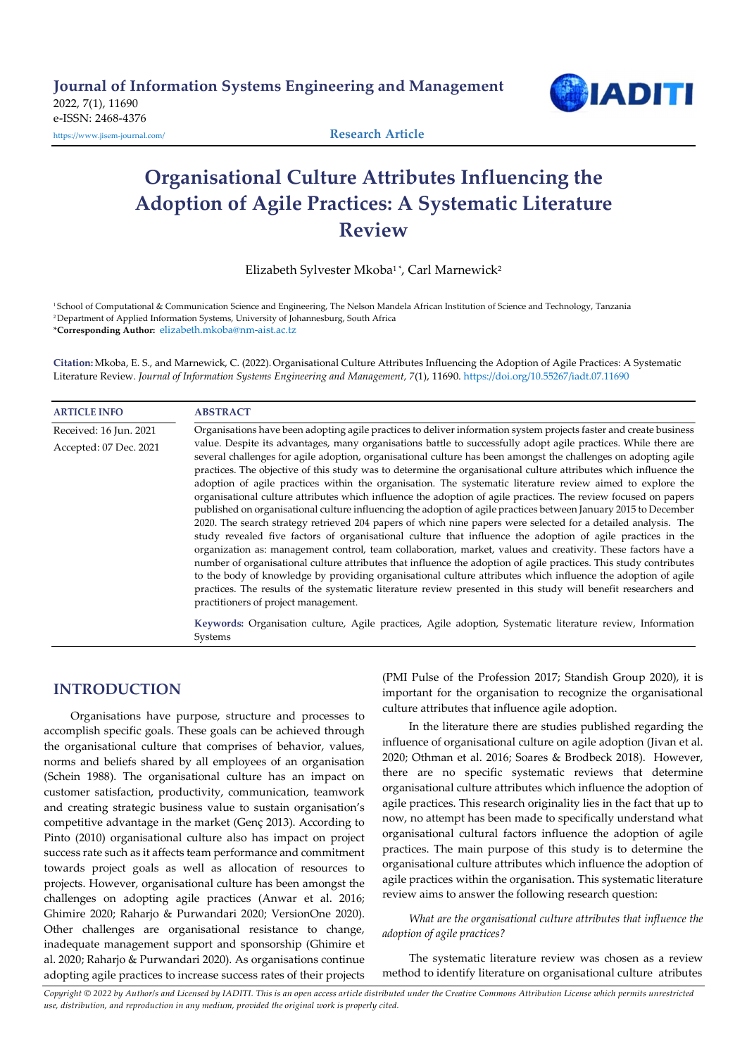

# Organisational Culture Attributes Influencing the Adoption of Agile Practices: A Systematic Literature Review

Elizabeth Sylvester Mkoba<sup>1</sup>\*, Carl Marnewick<sup>2</sup>

<sup>1</sup>School of Computational & Communication Science and Engineering, The Nelson Mandela African Institution of Science and Technology, Tanzania 2 Department of Applied Information Systems, University of Johannesburg, South Africa \*Corresponding Author: elizabeth.mkoba@nm-aist.ac.tz

Citation: Mkoba, E. S., and Marnewick, C. (2022). Organisational Culture Attributes Influencing the Adoption of Agile Practices: A Systematic Literature Review. Journal of Information Systems Engineering and Management, 7(1), 11690. https://doi.org/10.55267/iadt.07.11690

| <b>ARTICLE INFO</b>    | <b>ABSTRACT</b>                                                                                                                                                                                                                                                                                                                                                                                                                                                                                                                                                                                                                                                                                                                                                                                                                                                                                                                                                                                                                                                                                                                                                                                                                                                                                                                                                                                                                                                 |
|------------------------|-----------------------------------------------------------------------------------------------------------------------------------------------------------------------------------------------------------------------------------------------------------------------------------------------------------------------------------------------------------------------------------------------------------------------------------------------------------------------------------------------------------------------------------------------------------------------------------------------------------------------------------------------------------------------------------------------------------------------------------------------------------------------------------------------------------------------------------------------------------------------------------------------------------------------------------------------------------------------------------------------------------------------------------------------------------------------------------------------------------------------------------------------------------------------------------------------------------------------------------------------------------------------------------------------------------------------------------------------------------------------------------------------------------------------------------------------------------------|
| Received: 16 Jun. 2021 | Organisations have been adopting agile practices to deliver information system projects faster and create business                                                                                                                                                                                                                                                                                                                                                                                                                                                                                                                                                                                                                                                                                                                                                                                                                                                                                                                                                                                                                                                                                                                                                                                                                                                                                                                                              |
| Accepted: 07 Dec. 2021 | value. Despite its advantages, many organisations battle to successfully adopt agile practices. While there are<br>several challenges for agile adoption, organisational culture has been amongst the challenges on adopting agile<br>practices. The objective of this study was to determine the organisational culture attributes which influence the<br>adoption of agile practices within the organisation. The systematic literature review aimed to explore the<br>organisational culture attributes which influence the adoption of agile practices. The review focused on papers<br>published on organisational culture influencing the adoption of agile practices between January 2015 to December<br>2020. The search strategy retrieved 204 papers of which nine papers were selected for a detailed analysis. The<br>study revealed five factors of organisational culture that influence the adoption of agile practices in the<br>organization as: management control, team collaboration, market, values and creativity. These factors have a<br>number of organisational culture attributes that influence the adoption of agile practices. This study contributes<br>to the body of knowledge by providing organisational culture attributes which influence the adoption of agile<br>practices. The results of the systematic literature review presented in this study will benefit researchers and<br>practitioners of project management. |
|                        | Keywords: Organisation culture, Agile practices, Agile adoption, Systematic literature review, Information<br>Systems                                                                                                                                                                                                                                                                                                                                                                                                                                                                                                                                                                                                                                                                                                                                                                                                                                                                                                                                                                                                                                                                                                                                                                                                                                                                                                                                           |

# INTRODUCTION

Organisations have purpose, structure and processes to accomplish specific goals. These goals can be achieved through the organisational culture that comprises of behavior, values, norms and beliefs shared by all employees of an organisation (Schein 1988). The organisational culture has an impact on customer satisfaction, productivity, communication, teamwork and creating strategic business value to sustain organisation's competitive advantage in the market (Genç 2013). According to Pinto (2010) organisational culture also has impact on project success rate such as it affects team performance and commitment towards project goals as well as allocation of resources to projects. However, organisational culture has been amongst the challenges on adopting agile practices (Anwar et al. 2016; Ghimire 2020; Raharjo & Purwandari 2020; VersionOne 2020). Other challenges are organisational resistance to change, inadequate management support and sponsorship (Ghimire et al. 2020; Raharjo & Purwandari 2020). As organisations continue adopting agile practices to increase success rates of their projects

(PMI Pulse of the Profession 2017; Standish Group 2020), it is important for the organisation to recognize the organisational culture attributes that influence agile adoption.

In the literature there are studies published regarding the influence of organisational culture on agile adoption (Jivan et al. 2020; Othman et al. 2016; Soares & Brodbeck 2018). However, there are no specific systematic reviews that determine organisational culture attributes which influence the adoption of agile practices. This research originality lies in the fact that up to now, no attempt has been made to specifically understand what organisational cultural factors influence the adoption of agile practices. The main purpose of this study is to determine the organisational culture attributes which influence the adoption of agile practices within the organisation. This systematic literature review aims to answer the following research question:

What are the organisational culture attributes that influence the adoption of agile practices?

The systematic literature review was chosen as a review method to identify literature on organisational culture atributes

Copyright © 2022 by Author/s and Licensed by IADITI. This is an open access article distributed under the Creative Commons Attribution License which permits unrestricted use, distribution, and reproduction in any medium, provided the original work is properly cited.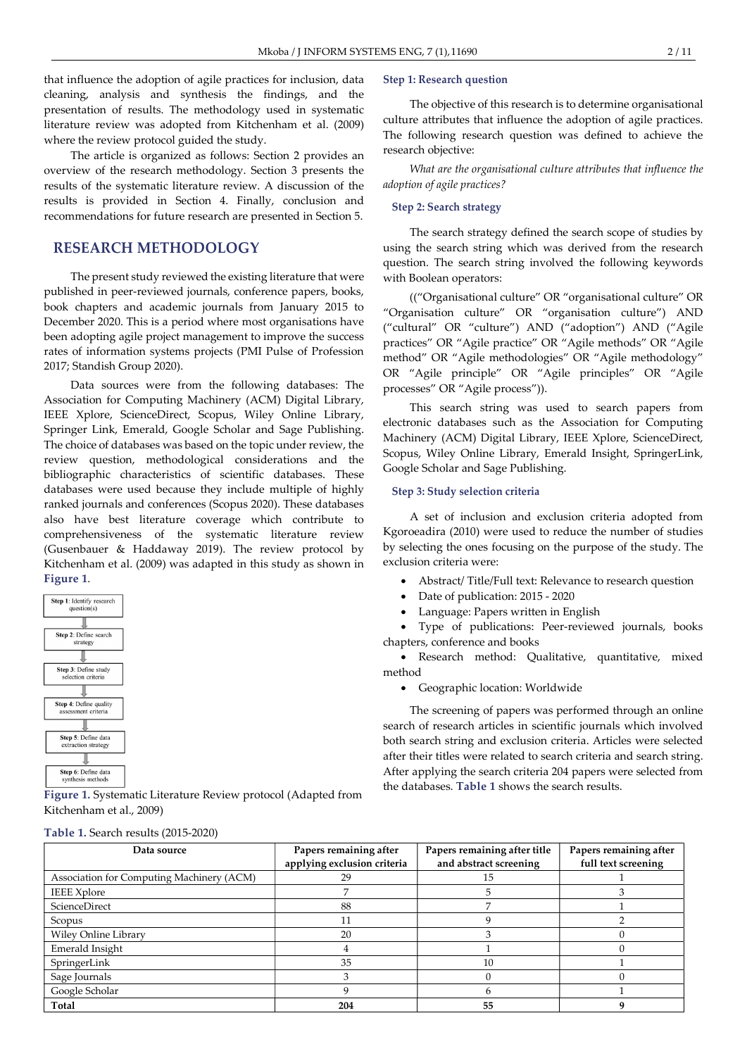that influence the adoption of agile practices for inclusion, data cleaning, analysis and synthesis the findings, and the presentation of results. The methodology used in systematic literature review was adopted from Kitchenham et al. (2009) where the review protocol guided the study.

The article is organized as follows: Section 2 provides an overview of the research methodology. Section 3 presents the results of the systematic literature review. A discussion of the results is provided in Section 4. Finally, conclusion and recommendations for future research are presented in Section 5.

# RESEARCH METHODOLOGY

The present study reviewed the existing literature that were published in peer-reviewed journals, conference papers, books, book chapters and academic journals from January 2015 to December 2020. This is a period where most organisations have been adopting agile project management to improve the success rates of information systems projects (PMI Pulse of Profession 2017; Standish Group 2020).

Data sources were from the following databases: The Association for Computing Machinery (ACM) Digital Library, IEEE Xplore, ScienceDirect, Scopus, Wiley Online Library, Springer Link, Emerald, Google Scholar and Sage Publishing. The choice of databases was based on the topic under review, the review question, methodological considerations and the bibliographic characteristics of scientific databases. These databases were used because they include multiple of highly ranked journals and conferences (Scopus 2020). These databases also have best literature coverage which contribute to comprehensiveness of the systematic literature review (Gusenbauer & Haddaway 2019). The review protocol by Kitchenham et al. (2009) was adapted in this study as shown in Figure 1.



Table 1. Search results (2015-2020)

Figure 1. Systematic Literature Review protocol (Adapted from Kitchenham et al., 2009)

#### Step 1: Research question

The objective of this research is to determine organisational culture attributes that influence the adoption of agile practices. The following research question was defined to achieve the research objective:

What are the organisational culture attributes that influence the adoption of agile practices?

#### Step 2: Search strategy

The search strategy defined the search scope of studies by using the search string which was derived from the research question. The search string involved the following keywords with Boolean operators:

(("Organisational culture" OR "organisational culture" OR "Organisation culture" OR "organisation culture") AND ("cultural" OR "culture") AND ("adoption") AND ("Agile practices" OR "Agile practice" OR "Agile methods" OR "Agile method" OR "Agile methodologies" OR "Agile methodology" OR "Agile principle" OR "Agile principles" OR "Agile processes" OR "Agile process")).

This search string was used to search papers from electronic databases such as the Association for Computing Machinery (ACM) Digital Library, IEEE Xplore, ScienceDirect, Scopus, Wiley Online Library, Emerald Insight, SpringerLink, Google Scholar and Sage Publishing.

#### Step 3: Study selection criteria

A set of inclusion and exclusion criteria adopted from Kgoroeadira (2010) were used to reduce the number of studies by selecting the ones focusing on the purpose of the study. The exclusion criteria were:

- Abstract/ Title/Full text: Relevance to research question
- Date of publication: 2015 2020
- Language: Papers written in English

 Type of publications: Peer-reviewed journals, books chapters, conference and books

 Research method: Qualitative, quantitative, mixed method

Geographic location: Worldwide

The screening of papers was performed through an online search of research articles in scientific journals which involved both search string and exclusion criteria. Articles were selected after their titles were related to search criteria and search string. After applying the search criteria 204 papers were selected from the databases. Table 1 shows the search results.

| Data source                               | Papers remaining after      | Papers remaining after title | Papers remaining after |  |
|-------------------------------------------|-----------------------------|------------------------------|------------------------|--|
|                                           | applying exclusion criteria | and abstract screening       | full text screening    |  |
| Association for Computing Machinery (ACM) | 29                          | 15                           |                        |  |
| <b>IEEE</b> Xplore                        |                             |                              |                        |  |
| ScienceDirect                             | 88                          |                              |                        |  |
| Scopus                                    | 11                          |                              |                        |  |
| <b>Wiley Online Library</b>               | 20                          |                              |                        |  |
| Emerald Insight                           |                             |                              |                        |  |
| SpringerLink                              | 35                          | 10                           |                        |  |
| Sage Journals                             |                             |                              |                        |  |
| Google Scholar                            |                             |                              |                        |  |
| Total                                     | 204                         | 55                           |                        |  |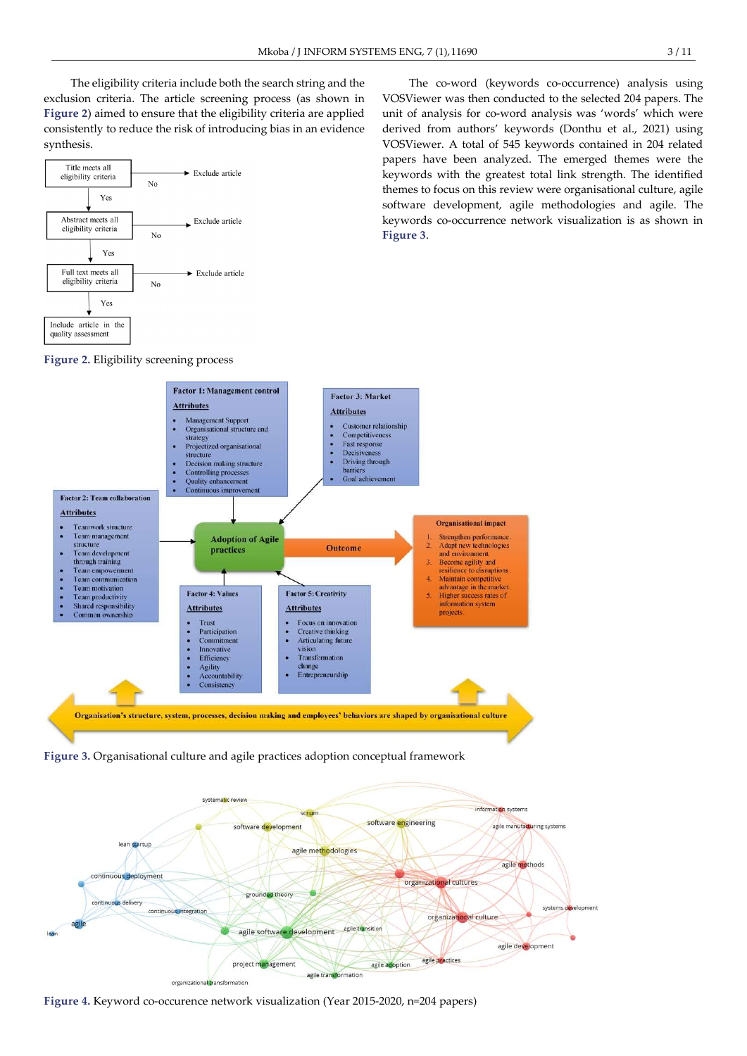The eligibility criteria include both the search string and the exclusion criteria. The article screening process (as shown in Figure 2) aimed to ensure that the eligibility criteria are applied consistently to reduce the risk of introducing bias in an evidence synthesis.



The co-word (keywords co-occurrence) analysis using VOSViewer was then conducted to the selected 204 papers. The unit of analysis for co-word analysis was 'words' which were derived from authors' keywords (Donthu et al., 2021) using VOSViewer. A total of 545 keywords contained in 204 related papers have been analyzed. The emerged themes were the keywords with the greatest total link strength. The identified themes to focus on this review were organisational culture, agile software development, agile methodologies and agile. The keywords co-occurrence network visualization is as shown in Figure 3.

Figure 2. Eligibility screening process



Figure 3. Organisational culture and agile practices adoption conceptual framework



Figure 4. Keyword co-occurence network visualization (Year 2015-2020, n=204 papers)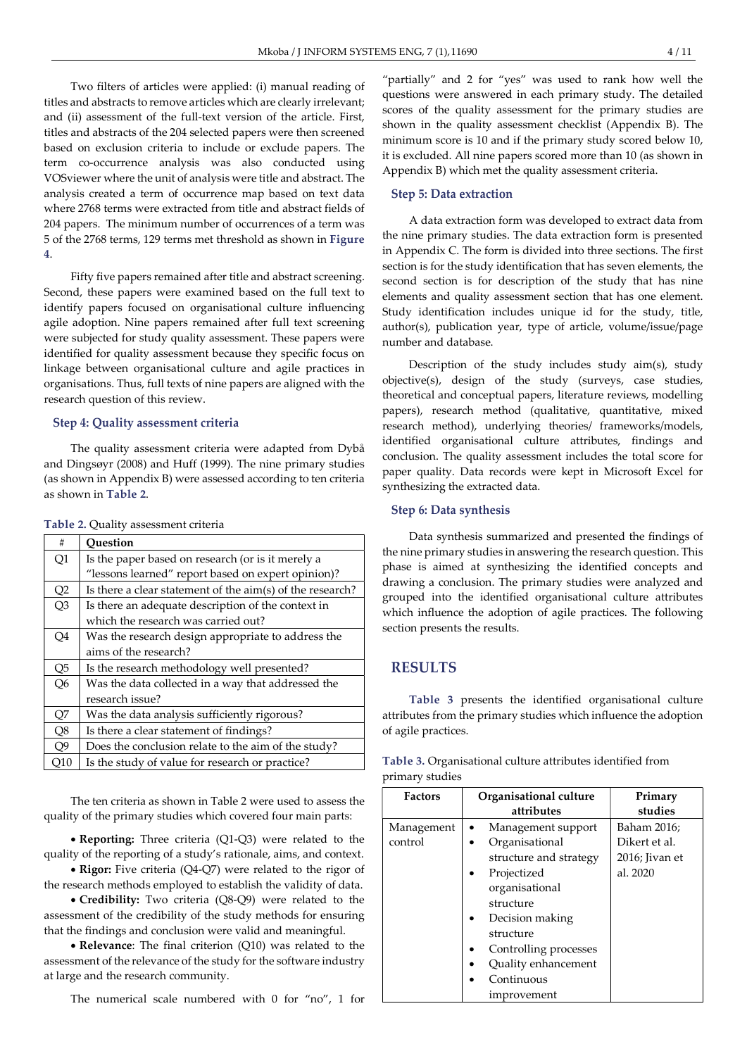Two filters of articles were applied: (i) manual reading of titles and abstracts to remove articles which are clearly irrelevant; and (ii) assessment of the full-text version of the article. First, titles and abstracts of the 204 selected papers were then screened based on exclusion criteria to include or exclude papers. The term co-occurrence analysis was also conducted using VOSviewer where the unit of analysis were title and abstract. The analysis created a term of occurrence map based on text data where 2768 terms were extracted from title and abstract fields of 204 papers. The minimum number of occurrences of a term was 5 of the 2768 terms, 129 terms met threshold as shown in Figure 4.

Fifty five papers remained after title and abstract screening. Second, these papers were examined based on the full text to identify papers focused on organisational culture influencing agile adoption. Nine papers remained after full text screening were subjected for study quality assessment. These papers were identified for quality assessment because they specific focus on linkage between organisational culture and agile practices in organisations. Thus, full texts of nine papers are aligned with the research question of this review.

#### Step 4: Quality assessment criteria

The quality assessment criteria were adapted from Dybå and Dingsøyr (2008) and Huff (1999). The nine primary studies (as shown in Appendix B) were assessed according to ten criteria as shown in Table 2.

| #              | Ouestion                                                     |
|----------------|--------------------------------------------------------------|
| Q1             | Is the paper based on research (or is it merely a            |
|                | "lessons learned" report based on expert opinion)?           |
| Q2             | Is there a clear statement of the $\dim(s)$ of the research? |
| Q <sub>3</sub> | Is there an adequate description of the context in           |
|                | which the research was carried out?                          |
| Q4             | Was the research design appropriate to address the           |
|                | aims of the research?                                        |
| Q5             | Is the research methodology well presented?                  |
| Q <sub>6</sub> | Was the data collected in a way that addressed the           |
|                | research issue?                                              |
| Q7             | Was the data analysis sufficiently rigorous?                 |
| Q8             | Is there a clear statement of findings?                      |
| Q9             | Does the conclusion relate to the aim of the study?          |
| O10            | Is the study of value for research or practice?              |

|  | Table 2. Quality assessment criteria |
|--|--------------------------------------|
|--|--------------------------------------|

The ten criteria as shown in Table 2 were used to assess the quality of the primary studies which covered four main parts:

 Reporting: Three criteria (Q1-Q3) were related to the quality of the reporting of a study's rationale, aims, and context.

• Rigor: Five criteria (Q4-Q7) were related to the rigor of the research methods employed to establish the validity of data.

 Credibility: Two criteria (Q8-Q9) were related to the assessment of the credibility of the study methods for ensuring that the findings and conclusion were valid and meaningful.

 Relevance: The final criterion (Q10) was related to the assessment of the relevance of the study for the software industry at large and the research community.

The numerical scale numbered with 0 for "no", 1 for

"partially" and 2 for "yes" was used to rank how well the questions were answered in each primary study. The detailed scores of the quality assessment for the primary studies are shown in the quality assessment checklist (Appendix B). The minimum score is 10 and if the primary study scored below 10, it is excluded. All nine papers scored more than 10 (as shown in Appendix B) which met the quality assessment criteria.

#### Step 5: Data extraction

A data extraction form was developed to extract data from the nine primary studies. The data extraction form is presented in Appendix C. The form is divided into three sections. The first section is for the study identification that has seven elements, the second section is for description of the study that has nine elements and quality assessment section that has one element. Study identification includes unique id for the study, title, author(s), publication year, type of article, volume/issue/page number and database.

Description of the study includes study aim(s), study objective(s), design of the study (surveys, case studies, theoretical and conceptual papers, literature reviews, modelling papers), research method (qualitative, quantitative, mixed research method), underlying theories/ frameworks/models, identified organisational culture attributes, findings and conclusion. The quality assessment includes the total score for paper quality. Data records were kept in Microsoft Excel for synthesizing the extracted data.

#### Step 6: Data synthesis

Data synthesis summarized and presented the findings of the nine primary studies in answering the research question. This phase is aimed at synthesizing the identified concepts and drawing a conclusion. The primary studies were analyzed and grouped into the identified organisational culture attributes which influence the adoption of agile practices. The following section presents the results.

# RESULTS

Table 3 presents the identified organisational culture attributes from the primary studies which influence the adoption of agile practices.

| Table 3. Organisational culture attributes identified from |  |
|------------------------------------------------------------|--|
| primary studies                                            |  |

| <b>Factors</b>        | Organisational culture<br>attributes                                      | Primary<br>studies           |
|-----------------------|---------------------------------------------------------------------------|------------------------------|
| Management<br>control | Management support<br>Organisational                                      | Baham 2016;<br>Dikert et al. |
|                       | structure and strategy<br>Projectized<br>organisational                   | 2016; Jivan et<br>al. 2020   |
|                       | structure<br>Decision making<br>structure                                 |                              |
|                       | Controlling processes<br>Quality enhancement<br>Continuous<br>improvement |                              |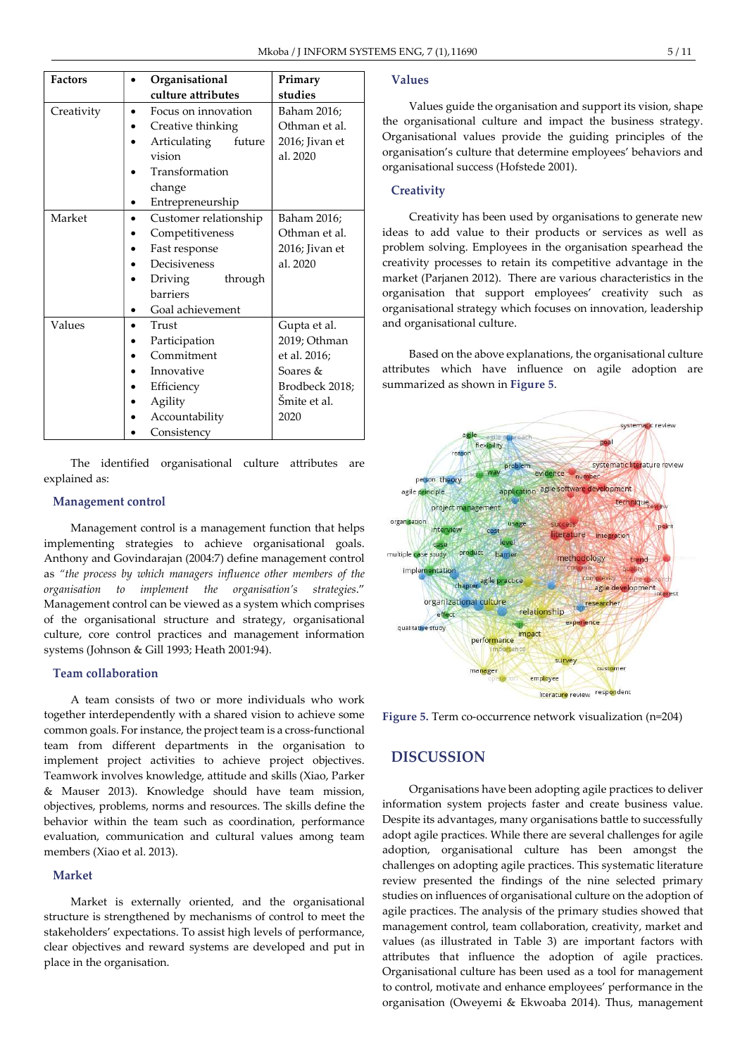| <b>Factors</b> | Organisational                   | Primary        |
|----------------|----------------------------------|----------------|
|                | culture attributes               | studies        |
| Creativity     | Focus on innovation<br>$\bullet$ | Baham 2016;    |
|                | Creative thinking                | Othman et al.  |
|                | Articulating<br>future           | 2016; Jivan et |
|                | vision                           | al. 2020       |
|                | Transformation                   |                |
|                | change                           |                |
|                | Entrepreneurship<br>٠            |                |
| Market         | Customer relationship            | Baham 2016;    |
|                | Competitiveness                  | Othman et al.  |
|                | Fast response                    | 2016; Jivan et |
|                | Decisiveness                     | al. 2020       |
|                | Driving<br>through               |                |
|                | <b>barriers</b>                  |                |
|                | Goal achievement                 |                |
| Values         | Trust                            | Gupta et al.   |
|                | Participation                    | 2019; Othman   |
|                | Commitment                       | et al. 2016;   |
|                | Innovative                       | Soares &       |
|                | Efficiency                       | Brodbeck 2018; |
|                | Agility                          | Šmite et al.   |
|                | Accountability                   | 2020           |
|                | Consistency                      |                |

The identified organisational culture attributes explained as:

#### Management control

Management control is a management function that helps implementing strategies to achieve organisational goals. Anthony and Govindarajan (2004:7) define management control as "the process by which managers influence other members of the organisation to implement the organisation's strategies." Management control can be viewed as a system which comprises of the organisational structure and strategy, organisational culture, core control practices and management information systems (Johnson & Gill 1993; Heath 2001:94).

#### Team collaboration

A team consists of two or more individuals who work together interdependently with a shared vision to achieve some common goals. For instance, the project team is a cross-functional team from different departments in the organisation to implement project activities to achieve project objectives. Teamwork involves knowledge, attitude and skills (Xiao, Parker & Mauser 2013). Knowledge should have team mission, objectives, problems, norms and resources. The skills define the behavior within the team such as coordination, performance evaluation, communication and cultural values among team members (Xiao et al. 2013).

### Market

Market is externally oriented, and the organisational structure is strengthened by mechanisms of control to meet the stakeholders' expectations. To assist high levels of performance, clear objectives and reward systems are developed and put in place in the organisation.

# Values

Values guide the organisation and support its vision, shape the organisational culture and impact the business strategy. Organisational values provide the guiding principles of the organisation's culture that determine employees' behaviors and organisational success (Hofstede 2001).

#### **Creativity**

Creativity has been used by organisations to generate new ideas to add value to their products or services as well as problem solving. Employees in the organisation spearhead the creativity processes to retain its competitive advantage in the market (Parjanen 2012). There are various characteristics in the organisation that support employees' creativity such as organisational strategy which focuses on innovation, leadership and organisational culture.

Based on the above explanations, the organisational culture attributes which have influence on agile adoption are summarized as shown in Figure 5.



Figure 5. Term co-occurrence network visualization (n=204)

# DISCUSSION

Organisations have been adopting agile practices to deliver information system projects faster and create business value. Despite its advantages, many organisations battle to successfully adopt agile practices. While there are several challenges for agile adoption, organisational culture has been amongst the challenges on adopting agile practices. This systematic literature review presented the findings of the nine selected primary studies on influences of organisational culture on the adoption of agile practices. The analysis of the primary studies showed that management control, team collaboration, creativity, market and values (as illustrated in Table 3) are important factors with attributes that influence the adoption of agile practices. Organisational culture has been used as a tool for management to control, motivate and enhance employees' performance in the organisation (Oweyemi & Ekwoaba 2014). Thus, management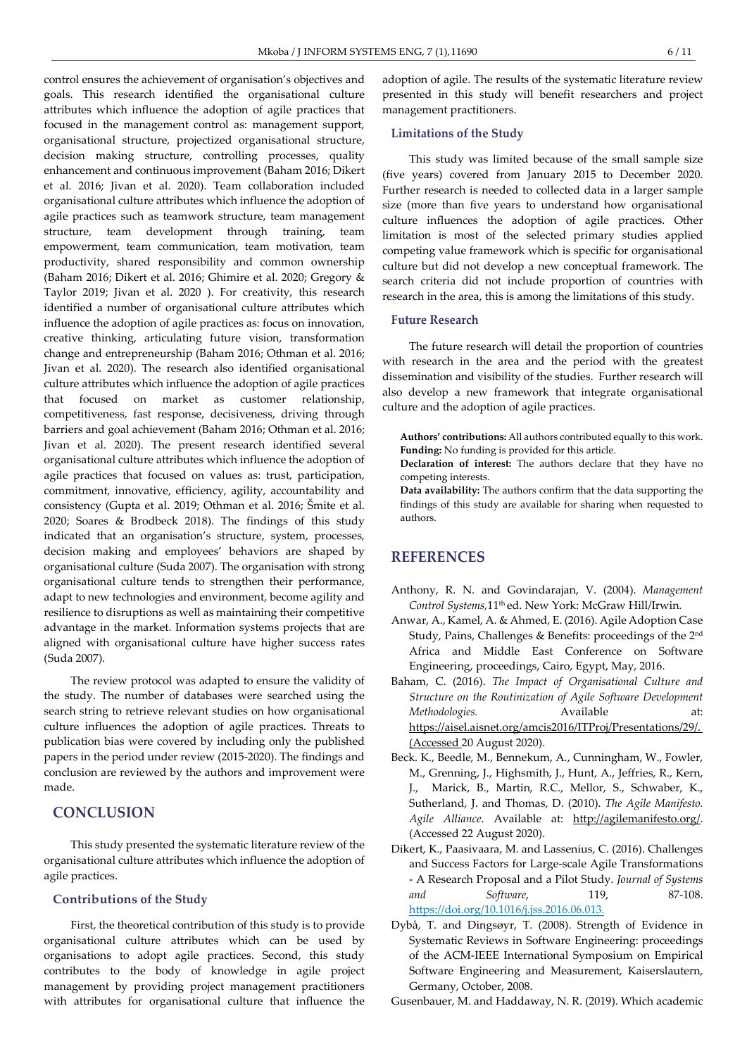control ensures the achievement of organisation's objectives and goals. This research identified the organisational culture attributes which influence the adoption of agile practices that focused in the management control as: management support, organisational structure, projectized organisational structure, decision making structure, controlling processes, quality enhancement and continuous improvement (Baham 2016; Dikert et al. 2016; Jivan et al. 2020). Team collaboration included organisational culture attributes which influence the adoption of agile practices such as teamwork structure, team management structure, team development through training, team empowerment, team communication, team motivation, team productivity, shared responsibility and common ownership (Baham 2016; Dikert et al. 2016; Ghimire et al. 2020; Gregory & Taylor 2019; Jivan et al. 2020 ). For creativity, this research identified a number of organisational culture attributes which influence the adoption of agile practices as: focus on innovation, creative thinking, articulating future vision, transformation change and entrepreneurship (Baham 2016; Othman et al. 2016; Jivan et al. 2020). The research also identified organisational culture attributes which influence the adoption of agile practices that focused on market as customer relationship, competitiveness, fast response, decisiveness, driving through barriers and goal achievement (Baham 2016; Othman et al. 2016; Jivan et al. 2020). The present research identified several organisational culture attributes which influence the adoption of agile practices that focused on values as: trust, participation, commitment, innovative, efficiency, agility, accountability and consistency (Gupta et al. 2019; Othman et al. 2016; Šmite et al. 2020; Soares & Brodbeck 2018). The findings of this study indicated that an organisation's structure, system, processes, decision making and employees' behaviors are shaped by organisational culture (Suda 2007). The organisation with strong organisational culture tends to strengthen their performance, adapt to new technologies and environment, become agility and resilience to disruptions as well as maintaining their competitive advantage in the market. Information systems projects that are aligned with organisational culture have higher success rates (Suda 2007).

The review protocol was adapted to ensure the validity of the study. The number of databases were searched using the search string to retrieve relevant studies on how organisational culture influences the adoption of agile practices. Threats to publication bias were covered by including only the published papers in the period under review (2015-2020). The findings and conclusion are reviewed by the authors and improvement were made.

# **CONCLUSION**

This study presented the systematic literature review of the organisational culture attributes which influence the adoption of agile practices.

#### Contributions of the Study

First, the theoretical contribution of this study is to provide organisational culture attributes which can be used by organisations to adopt agile practices. Second, this study contributes to the body of knowledge in agile project management by providing project management practitioners with attributes for organisational culture that influence the

adoption of agile. The results of the systematic literature review presented in this study will benefit researchers and project management practitioners.

#### Limitations of the Study

This study was limited because of the small sample size (five years) covered from January 2015 to December 2020. Further research is needed to collected data in a larger sample size (more than five years to understand how organisational culture influences the adoption of agile practices. Other limitation is most of the selected primary studies applied competing value framework which is specific for organisational culture but did not develop a new conceptual framework. The search criteria did not include proportion of countries with research in the area, this is among the limitations of this study.

#### Future Research

The future research will detail the proportion of countries with research in the area and the period with the greatest dissemination and visibility of the studies. Further research will also develop a new framework that integrate organisational culture and the adoption of agile practices.

Authors' contributions: All authors contributed equally to this work. Funding: No funding is provided for this article.

Declaration of interest: The authors declare that they have no competing interests.

Data availability: The authors confirm that the data supporting the findings of this study are available for sharing when requested to authors.

# **REFERENCES**

- Anthony, R. N. and Govindarajan, V. (2004). Management Control Systems,11th ed. New York: McGraw Hill/Irwin.
- Anwar, A., Kamel, A. & Ahmed, E. (2016). Agile Adoption Case Study, Pains, Challenges & Benefits: proceedings of the 2nd Africa and Middle East Conference on Software Engineering, proceedings, Cairo, Egypt, May, 2016.
- Baham, C. (2016). The Impact of Organisational Culture and Structure on the Routinization of Agile Software Development Methodologies. Available at: https://aisel.aisnet.org/amcis2016/ITProj/Presentations/29/. (Accessed 20 August 2020).
- Beck. K., Beedle, M., Bennekum, A., Cunningham, W., Fowler, M., Grenning, J., Highsmith, J., Hunt, A., Jeffries, R., Kern, J., Marick, B., Martin, R.C., Mellor, S., Schwaber, K., Sutherland, J. and Thomas, D. (2010). The Agile Manifesto. Agile Alliance. Available at: http://agilemanifesto.org/. (Accessed 22 August 2020).
- Dikert, K., Paasivaara, M. and Lassenius, C. (2016). Challenges and Success Factors for Large-scale Agile Transformations - A Research Proposal and a Pilot Study. Journal of Systems and Software, 119, 87-108. https://doi.org/10.1016/j.jss.2016.06.013.
- Dybå, T. and Dingsøyr, T. (2008). Strength of Evidence in Systematic Reviews in Software Engineering: proceedings of the ACM-IEEE International Symposium on Empirical Software Engineering and Measurement, Kaiserslautern, Germany, October, 2008.

Gusenbauer, M. and Haddaway, N. R. (2019). Which academic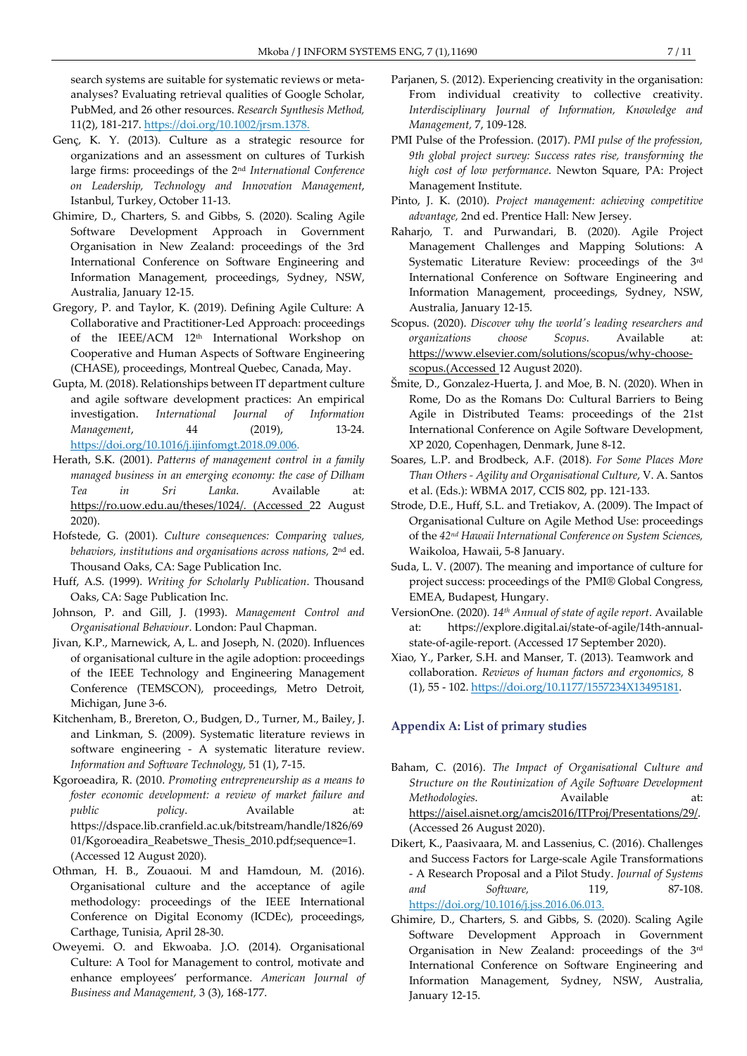search systems are suitable for systematic reviews or metaanalyses? Evaluating retrieval qualities of Google Scholar, PubMed, and 26 other resources. Research Synthesis Method, 11(2), 181-217. https://doi.org/10.1002/jrsm.1378.

- Genç, K. Y. (2013). Culture as a strategic resource for organizations and an assessment on cultures of Turkish large firms: proceedings of the 2nd International Conference on Leadership, Technology and Innovation Management, Istanbul, Turkey, October 11-13.
- Ghimire, D., Charters, S. and Gibbs, S. (2020). Scaling Agile Software Development Approach in Government Organisation in New Zealand: proceedings of the 3rd International Conference on Software Engineering and Information Management, proceedings, Sydney, NSW, Australia, January 12-15.
- Gregory, P. and Taylor, K. (2019). Defining Agile Culture: A Collaborative and Practitioner-Led Approach: proceedings of the IEEE/ACM 12th International Workshop on Cooperative and Human Aspects of Software Engineering (CHASE), proceedings, Montreal Quebec, Canada, May.
- Gupta, M. (2018). Relationships between IT department culture and agile software development practices: An empirical investigation. International Journal of Information Management, 44 (2019), 13-24. https://doi.org/10.1016/j.ijinfomgt.2018.09.006.
- Herath, S.K. (2001). Patterns of management control in a family managed business in an emerging economy: the case of Dilham Tea in Sri Lanka. Available at: https://ro.uow.edu.au/theses/1024/. (Accessed 22 August 2020).
- Hofstede, G. (2001). Culture consequences: Comparing values, behaviors, institutions and organisations across nations, 2nd ed. Thousand Oaks, CA: Sage Publication Inc.
- Huff, A.S. (1999). Writing for Scholarly Publication. Thousand Oaks, CA: Sage Publication Inc.
- Johnson, P. and Gill, J. (1993). Management Control and Organisational Behaviour. London: Paul Chapman.
- Jivan, K.P., Marnewick, A, L. and Joseph, N. (2020). Influences of organisational culture in the agile adoption: proceedings of the IEEE Technology and Engineering Management Conference (TEMSCON), proceedings, Metro Detroit, Michigan, June 3-6.
- Kitchenham, B., Brereton, O., Budgen, D., Turner, M., Bailey, J. and Linkman, S. (2009). Systematic literature reviews in software engineering - A systematic literature review. Information and Software Technology, 51 (1), 7-15.
- Kgoroeadira, R. (2010. Promoting entrepreneurship as a means to foster economic development: a review of market failure and public policy. Available at: https://dspace.lib.cranfield.ac.uk/bitstream/handle/1826/69 01/Kgoroeadira\_Reabetswe\_Thesis\_2010.pdf;sequence=1. (Accessed 12 August 2020).
- Othman, H. B., Zouaoui. M and Hamdoun, M. (2016). Organisational culture and the acceptance of agile methodology: proceedings of the IEEE International Conference on Digital Economy (ICDEc), proceedings, Carthage, Tunisia, April 28-30.
- Oweyemi. O. and Ekwoaba. J.O. (2014). Organisational Culture: A Tool for Management to control, motivate and enhance employees' performance. American Journal of Business and Management, 3 (3), 168-177.
- Parjanen, S. (2012). Experiencing creativity in the organisation: From individual creativity to collective creativity. Interdisciplinary Journal of Information, Knowledge and Management, 7, 109-128.
- PMI Pulse of the Profession. (2017). PMI pulse of the profession, 9th global project survey: Success rates rise, transforming the high cost of low performance. Newton Square, PA: Project Management Institute.
- Pinto, J. K. (2010). Project management: achieving competitive advantage, 2nd ed. Prentice Hall: New Jersey.
- Raharjo, T. and Purwandari, B. (2020). Agile Project Management Challenges and Mapping Solutions: A Systematic Literature Review: proceedings of the 3rd International Conference on Software Engineering and Information Management, proceedings, Sydney, NSW, Australia, January 12-15.
- Scopus. (2020). Discover why the world's leading researchers and organizations choose Scopus. Available at: https://www.elsevier.com/solutions/scopus/why-choosescopus.(Accessed 12 August 2020).
- Šmite, D., Gonzalez-Huerta, J. and Moe, B. N. (2020). When in Rome, Do as the Romans Do: Cultural Barriers to Being Agile in Distributed Teams: proceedings of the 21st International Conference on Agile Software Development, XP 2020, Copenhagen, Denmark, June 8-12.
- Soares, L.P. and Brodbeck, A.F. (2018). For Some Places More Than Others - Agility and Organisational Culture, V. A. Santos et al. (Eds.): WBMA 2017, CCIS 802, pp. 121-133.
- Strode, D.E., Huff, S.L. and Tretiakov, A. (2009). The Impact of Organisational Culture on Agile Method Use: proceedings of the 42nd Hawaii International Conference on System Sciences, Waikoloa, Hawaii, 5-8 January.
- Suda, L. V. (2007). The meaning and importance of culture for project success: proceedings of the PMI® Global Congress, EMEA, Budapest, Hungary.
- VersionOne. (2020). 14<sup>th</sup> Annual of state of agile report. Available at: https://explore.digital.ai/state-of-agile/14th-annualstate-of-agile-report. (Accessed 17 September 2020).
- Xiao, Y., Parker, S.H. and Manser, T. (2013). Teamwork and collaboration. Reviews of human factors and ergonomics, 8 (1), 55 - 102. https://doi.org/10.1177/1557234X13495181.

#### Appendix A: List of primary studies

- Baham, C. (2016). The Impact of Organisational Culture and Structure on the Routinization of Agile Software Development Methodologies. Available at: https://aisel.aisnet.org/amcis2016/ITProj/Presentations/29/. (Accessed 26 August 2020).
- Dikert, K., Paasivaara, M. and Lassenius, C. (2016). Challenges and Success Factors for Large-scale Agile Transformations - A Research Proposal and a Pilot Study. Journal of Systems and Software, 119, 87-108. https://doi.org/10.1016/j.jss.2016.06.013.
- Ghimire, D., Charters, S. and Gibbs, S. (2020). Scaling Agile Software Development Approach in Government Organisation in New Zealand: proceedings of the 3rd International Conference on Software Engineering and Information Management, Sydney, NSW, Australia, January 12-15.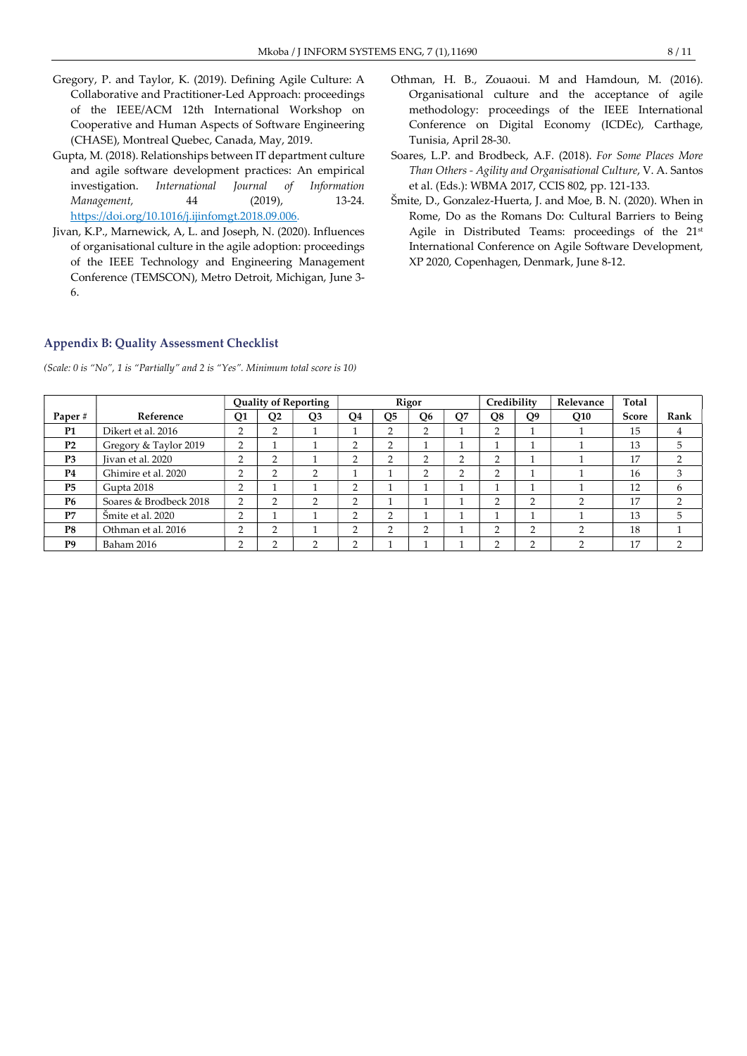- Gregory, P. and Taylor, K. (2019). Defining Agile Culture: A Collaborative and Practitioner-Led Approach: proceedings of the IEEE/ACM 12th International Workshop on Cooperative and Human Aspects of Software Engineering (CHASE), Montreal Quebec, Canada, May, 2019.
- Gupta, M. (2018). Relationships between IT department culture and agile software development practices: An empirical investigation. International Journal of Information Management, 44 (2019), 13-24. https://doi.org/10.1016/j.ijinfomgt.2018.09.006.
- Jivan, K.P., Marnewick, A, L. and Joseph, N. (2020). Influences of organisational culture in the agile adoption: proceedings of the IEEE Technology and Engineering Management Conference (TEMSCON), Metro Detroit, Michigan, June 3- 6.
- Othman, H. B., Zouaoui. M and Hamdoun, M. (2016). Organisational culture and the acceptance of agile methodology: proceedings of the IEEE International Conference on Digital Economy (ICDEc), Carthage, Tunisia, April 28-30.
- Soares, L.P. and Brodbeck, A.F. (2018). For Some Places More Than Others - Agility and Organisational Culture, V. A. Santos et al. (Eds.): WBMA 2017, CCIS 802, pp. 121-133.
- Šmite, D., Gonzalez-Huerta, J. and Moe, B. N. (2020). When in Rome, Do as the Romans Do: Cultural Barriers to Being Agile in Distributed Teams: proceedings of the 21st International Conference on Agile Software Development, XP 2020, Copenhagen, Denmark, June 8-12.

#### Appendix B: Quality Assessment Checklist

(Scale: 0 is "No", 1 is "Partially" and 2 is "Yes". Minimum total score is 10)

|                |                        | <b>Quality of Reporting</b>          |        |                | Rigor |              |                | Credibility |              | Relevance      | Total |              |      |
|----------------|------------------------|--------------------------------------|--------|----------------|-------|--------------|----------------|-------------|--------------|----------------|-------|--------------|------|
| Paper#         | Reference              | Q1                                   | Q2     | Q <sub>3</sub> | O4    | <b>O5</b>    | O <sub>6</sub> | Q7          | Q8           | Q <sub>9</sub> | Q10   | <b>Score</b> | Rank |
| <b>P1</b>      | Dikert et al. 2016     | <sup><math>\supset</math></sup><br>∠ | C<br>∠ |                |       | <sup>-</sup> | ∍<br>∠         |             | ◠            |                |       | 15           | 4    |
| P <sub>2</sub> | Gregory & Taylor 2019  | 2                                    | -      |                |       | ◠            |                |             |              |                |       | 13           | b.   |
| P <sub>3</sub> | Jivan et al. 2020      | 2                                    | ∍<br>∠ |                |       |              |                | ◠           | ◠            |                |       | 17           |      |
| <b>P4</b>      | Ghimire et al. 2020    | <sup>-</sup><br>∠                    | ◠      | $\sim$         |       |              | n              | ◠           | ◠            |                |       | 16           | 3    |
| <b>P5</b>      | Gupta 2018             | 2                                    |        |                | c     |              |                |             |              |                |       | 12           | 6    |
| <b>P6</b>      | Soares & Brodbeck 2018 | $\overline{2}$                       | 2      |                | ◠     |              |                |             | <sup>-</sup> | c              |       | 17           | ∍    |
| P7             | Šmite et al. 2020      | 2                                    |        |                |       | ◠            |                |             |              |                |       | 13           |      |
| P8             | Othman et al. 2016     | C<br>∠                               | C<br>∠ |                |       |              | ∠              |             | ◠            | ◠              |       | 18           |      |
| P <sub>9</sub> | Baham 2016             | ∍<br>∠                               | ◠      |                | ◠     |              |                |             | ◠            | ◠              |       | 17           |      |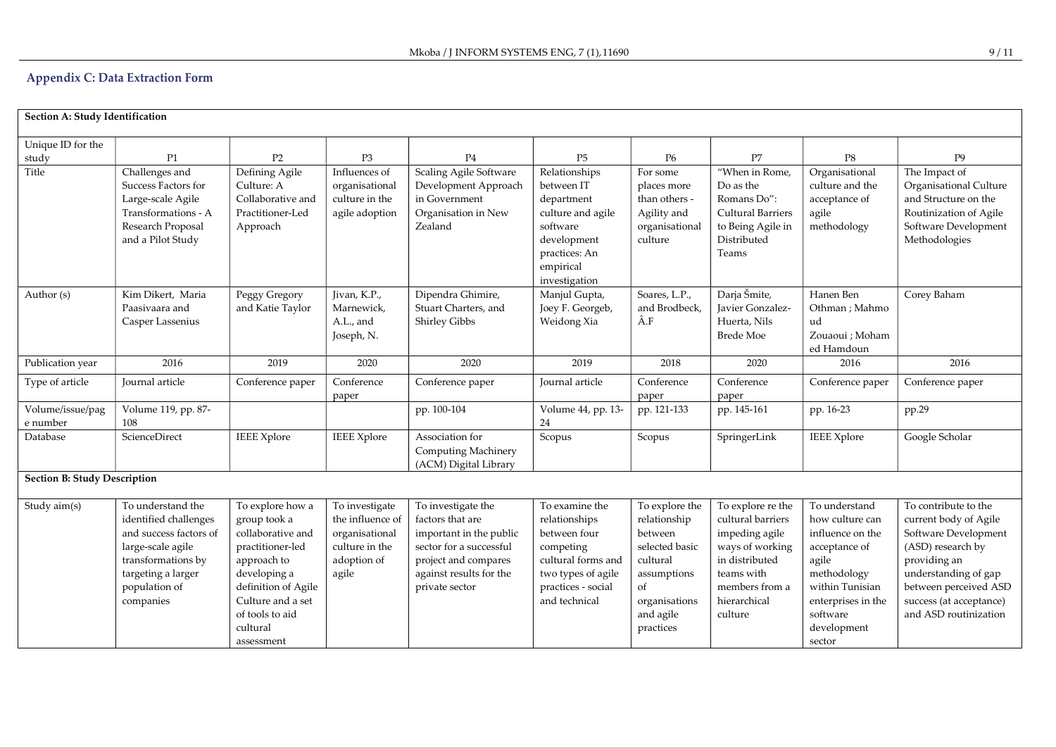# Appendix C: Data Extraction Form

| Section A: Study Identification     |                                                                                                                                                                     |                                                                                                                                                                                                   |                                                                                                |                                                                                                                                                                   |                                                                                                                                                 |                                                                                                                                         |                                                                                                                                                          |                                                                                                                                                                             |                                                                                                                                                                                                                 |
|-------------------------------------|---------------------------------------------------------------------------------------------------------------------------------------------------------------------|---------------------------------------------------------------------------------------------------------------------------------------------------------------------------------------------------|------------------------------------------------------------------------------------------------|-------------------------------------------------------------------------------------------------------------------------------------------------------------------|-------------------------------------------------------------------------------------------------------------------------------------------------|-----------------------------------------------------------------------------------------------------------------------------------------|----------------------------------------------------------------------------------------------------------------------------------------------------------|-----------------------------------------------------------------------------------------------------------------------------------------------------------------------------|-----------------------------------------------------------------------------------------------------------------------------------------------------------------------------------------------------------------|
| Unique ID for the<br>study          | P1                                                                                                                                                                  | P2                                                                                                                                                                                                | P <sub>3</sub>                                                                                 | P <sub>4</sub>                                                                                                                                                    | P <sub>5</sub>                                                                                                                                  | P <sub>6</sub>                                                                                                                          | P7                                                                                                                                                       | P8                                                                                                                                                                          | P <sub>9</sub>                                                                                                                                                                                                  |
| Title                               | Challenges and<br>Success Factors for<br>Large-scale Agile<br>Transformations - A<br>Research Proposal<br>and a Pilot Study                                         | Defining Agile<br>Culture: A<br>Collaborative and<br>Practitioner-Led<br>Approach                                                                                                                 | Influences of<br>organisational<br>culture in the<br>agile adoption                            | Scaling Agile Software<br>Development Approach<br>in Government<br>Organisation in New<br>Zealand                                                                 | Relationships<br>between IT<br>department<br>culture and agile<br>software<br>development<br>practices: An<br>empirical<br>investigation        | For some<br>places more<br>than others -<br>Agility and<br>organisational<br>culture                                                    | "When in Rome.<br>Do as the<br>Romans Do":<br><b>Cultural Barriers</b><br>to Being Agile in<br>Distributed<br>Teams                                      | Organisational<br>culture and the<br>acceptance of<br>agile<br>methodology                                                                                                  | The Impact of<br>Organisational Culture<br>and Structure on the<br>Routinization of Agile<br>Software Development<br>Methodologies                                                                              |
| Author (s)                          | Kim Dikert, Maria<br>Paasivaara and<br>Casper Lassenius                                                                                                             | Peggy Gregory<br>and Katie Taylor                                                                                                                                                                 | Jivan, K.P.,<br>Marnewick,<br>A.L., and<br>Joseph, N.                                          | Dipendra Ghimire,<br>Stuart Charters, and<br>Shirley Gibbs                                                                                                        | Manjul Gupta,<br>Joey F. Georgeb,<br>Weidong Xia                                                                                                | Soares, L.P.,<br>and Brodbeck,<br>Â.F                                                                                                   | Darja Šmite,<br>Javier Gonzalez-<br>Huerta, Nils<br><b>Brede Moe</b>                                                                                     | Hanen Ben<br>Othman; Mahmo<br>ud<br>Zouaoui ; Moham<br>ed Hamdoun                                                                                                           | Corey Baham                                                                                                                                                                                                     |
| Publication year                    | 2016                                                                                                                                                                | 2019                                                                                                                                                                                              | 2020                                                                                           | 2020                                                                                                                                                              | 2019                                                                                                                                            | 2018                                                                                                                                    | 2020                                                                                                                                                     | 2016                                                                                                                                                                        | 2016                                                                                                                                                                                                            |
| Type of article                     | Journal article                                                                                                                                                     | Conference paper                                                                                                                                                                                  | Conference<br>paper                                                                            | Conference paper                                                                                                                                                  | Journal article                                                                                                                                 | Conference<br>paper                                                                                                                     | Conference<br>paper                                                                                                                                      | Conference paper                                                                                                                                                            | Conference paper                                                                                                                                                                                                |
| Volume/issue/pag<br>e number        | Volume 119, pp. 87-<br>108                                                                                                                                          |                                                                                                                                                                                                   |                                                                                                | pp. 100-104                                                                                                                                                       | Volume 44, pp. 13-<br>24                                                                                                                        | pp. 121-133                                                                                                                             | pp. 145-161                                                                                                                                              | pp. 16-23                                                                                                                                                                   | pp.29                                                                                                                                                                                                           |
| Database                            | ScienceDirect                                                                                                                                                       | <b>IEEE</b> Xplore                                                                                                                                                                                | <b>IEEE</b> Xplore                                                                             | Association for<br>Computing Machinery<br>(ACM) Digital Library                                                                                                   | Scopus                                                                                                                                          | Scopus                                                                                                                                  | SpringerLink                                                                                                                                             | <b>IEEE</b> Xplore                                                                                                                                                          | Google Scholar                                                                                                                                                                                                  |
| <b>Section B: Study Description</b> |                                                                                                                                                                     |                                                                                                                                                                                                   |                                                                                                |                                                                                                                                                                   |                                                                                                                                                 |                                                                                                                                         |                                                                                                                                                          |                                                                                                                                                                             |                                                                                                                                                                                                                 |
| Study aim(s)                        | To understand the<br>identified challenges<br>and success factors of<br>large-scale agile<br>transformations by<br>targeting a larger<br>population of<br>companies | To explore how a<br>group took a<br>collaborative and<br>practitioner-led<br>approach to<br>developing a<br>definition of Agile<br>Culture and a set<br>of tools to aid<br>cultural<br>assessment | To investigate<br>the influence of<br>organisational<br>culture in the<br>adoption of<br>agile | To investigate the<br>factors that are<br>important in the public<br>sector for a successful<br>project and compares<br>against results for the<br>private sector | To examine the<br>relationships<br>between four<br>competing<br>cultural forms and<br>two types of agile<br>practices - social<br>and technical | To explore the<br>relationship<br>between<br>selected basic<br>cultural<br>assumptions<br>of<br>organisations<br>and agile<br>practices | To explore re the<br>cultural barriers<br>impeding agile<br>ways of working<br>in distributed<br>teams with<br>members from a<br>hierarchical<br>culture | To understand<br>how culture can<br>influence on the<br>acceptance of<br>agile<br>methodology<br>within Tunisian<br>enterprises in the<br>software<br>development<br>sector | To contribute to the<br>current body of Agile<br>Software Development<br>(ASD) research by<br>providing an<br>understanding of gap<br>between perceived ASD<br>success (at acceptance)<br>and ASD routinization |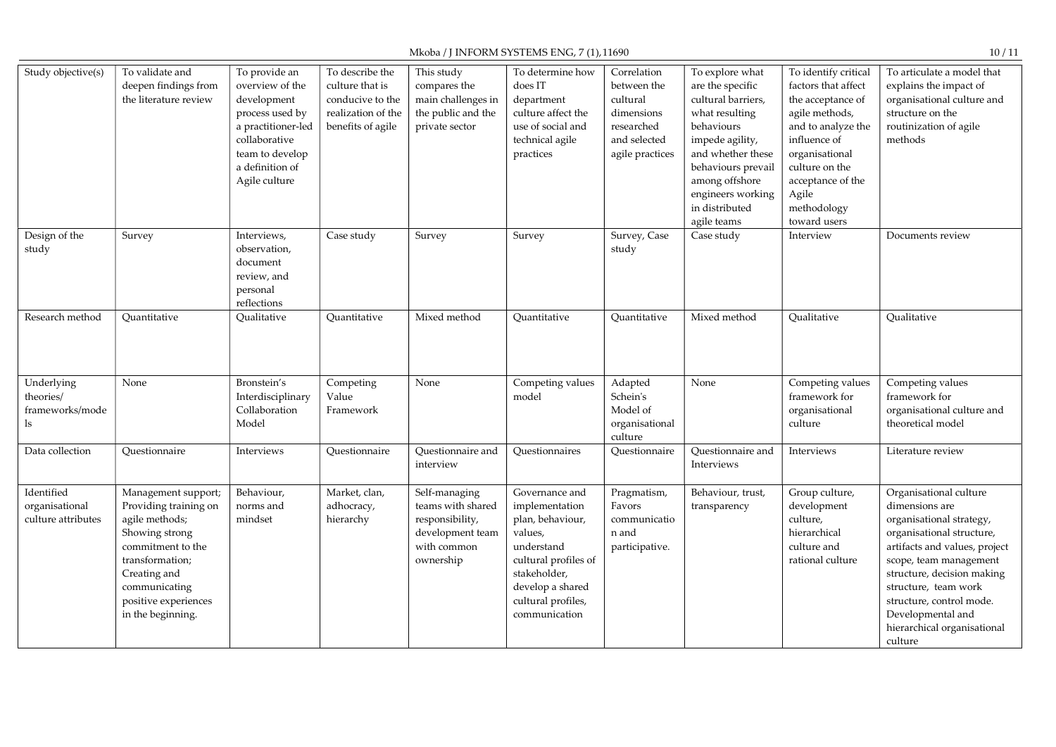# Mkoba / J INFORM SYSTEMS ENG, 7 (1), 11690

| Study objective(s)                                 | To validate and<br>deepen findings from<br>the literature review                                                                                                                                       | To provide an<br>overview of the<br>development<br>process used by<br>a practitioner-led<br>collaborative<br>team to develop<br>a definition of<br>Agile culture | To describe the<br>culture that is<br>conducive to the<br>realization of the<br>benefits of agile | This study<br>compares the<br>main challenges in<br>the public and the<br>private sector              | To determine how<br>does IT<br>department<br>culture affect the<br>use of social and<br>technical agile<br>practices                                                             | Correlation<br>between the<br>cultural<br>dimensions<br>researched<br>and selected<br>agile practices | To explore what<br>are the specific<br>cultural barriers,<br>what resulting<br>behaviours<br>impede agility,<br>and whether these<br>behaviours prevail<br>among offshore<br>engineers working<br>in distributed<br>agile teams | To identify critical<br>factors that affect<br>the acceptance of<br>agile methods,<br>and to analyze the<br>influence of<br>organisational<br>culture on the<br>acceptance of the<br>Agile<br>methodology<br>toward users | To articulate a model that<br>explains the impact of<br>organisational culture and<br>structure on the<br>routinization of agile<br>methods                                                                                                                                                                   |
|----------------------------------------------------|--------------------------------------------------------------------------------------------------------------------------------------------------------------------------------------------------------|------------------------------------------------------------------------------------------------------------------------------------------------------------------|---------------------------------------------------------------------------------------------------|-------------------------------------------------------------------------------------------------------|----------------------------------------------------------------------------------------------------------------------------------------------------------------------------------|-------------------------------------------------------------------------------------------------------|---------------------------------------------------------------------------------------------------------------------------------------------------------------------------------------------------------------------------------|---------------------------------------------------------------------------------------------------------------------------------------------------------------------------------------------------------------------------|---------------------------------------------------------------------------------------------------------------------------------------------------------------------------------------------------------------------------------------------------------------------------------------------------------------|
| Design of the<br>study                             | Survey                                                                                                                                                                                                 | Interviews,<br>observation,<br>document<br>review, and<br>personal<br>reflections                                                                                | Case study                                                                                        | Survey                                                                                                | Survey                                                                                                                                                                           | Survey, Case<br>study                                                                                 | Case study                                                                                                                                                                                                                      | Interview                                                                                                                                                                                                                 | Documents review                                                                                                                                                                                                                                                                                              |
| Research method                                    | Ouantitative                                                                                                                                                                                           | Qualitative                                                                                                                                                      | Quantitative                                                                                      | Mixed method                                                                                          | Ouantitative                                                                                                                                                                     | Quantitative                                                                                          | Mixed method                                                                                                                                                                                                                    | Qualitative                                                                                                                                                                                                               | Qualitative                                                                                                                                                                                                                                                                                                   |
| Underlying<br>theories/<br>frameworks/mode<br>ls   | None                                                                                                                                                                                                   | Bronstein's<br>Interdisciplinary<br>Collaboration<br>Model                                                                                                       | Competing<br>Value<br>Framework                                                                   | None                                                                                                  | Competing values<br>model                                                                                                                                                        | Adapted<br>Schein's<br>Model of<br>organisational<br>culture                                          | None                                                                                                                                                                                                                            | Competing values<br>framework for<br>organisational<br>culture                                                                                                                                                            | Competing values<br>framework for<br>organisational culture and<br>theoretical model                                                                                                                                                                                                                          |
| Data collection                                    | Questionnaire                                                                                                                                                                                          | Interviews                                                                                                                                                       | Questionnaire                                                                                     | Questionnaire and<br>interview                                                                        | Questionnaires                                                                                                                                                                   | Questionnaire                                                                                         | Questionnaire and<br>Interviews                                                                                                                                                                                                 | Interviews                                                                                                                                                                                                                | Literature review                                                                                                                                                                                                                                                                                             |
| Identified<br>organisational<br>culture attributes | Management support;<br>Providing training on<br>agile methods;<br>Showing strong<br>commitment to the<br>transformation;<br>Creating and<br>communicating<br>positive experiences<br>in the beginning. | Behaviour,<br>norms and<br>mindset                                                                                                                               | Market, clan,<br>adhocracy,<br>hierarchy                                                          | Self-managing<br>teams with shared<br>responsibility,<br>development team<br>with common<br>ownership | Governance and<br>implementation<br>plan, behaviour,<br>values,<br>understand<br>cultural profiles of<br>stakeholder,<br>develop a shared<br>cultural profiles,<br>communication | Pragmatism,<br>Favors<br>communicatio<br>n and<br>participative.                                      | Behaviour, trust,<br>transparency                                                                                                                                                                                               | Group culture,<br>development<br>culture,<br>hierarchical<br>culture and<br>rational culture                                                                                                                              | Organisational culture<br>dimensions are<br>organisational strategy,<br>organisational structure,<br>artifacts and values, project<br>scope, team management<br>structure, decision making<br>structure, team work<br>structure, control mode.<br>Developmental and<br>hierarchical organisational<br>culture |

10 / 11